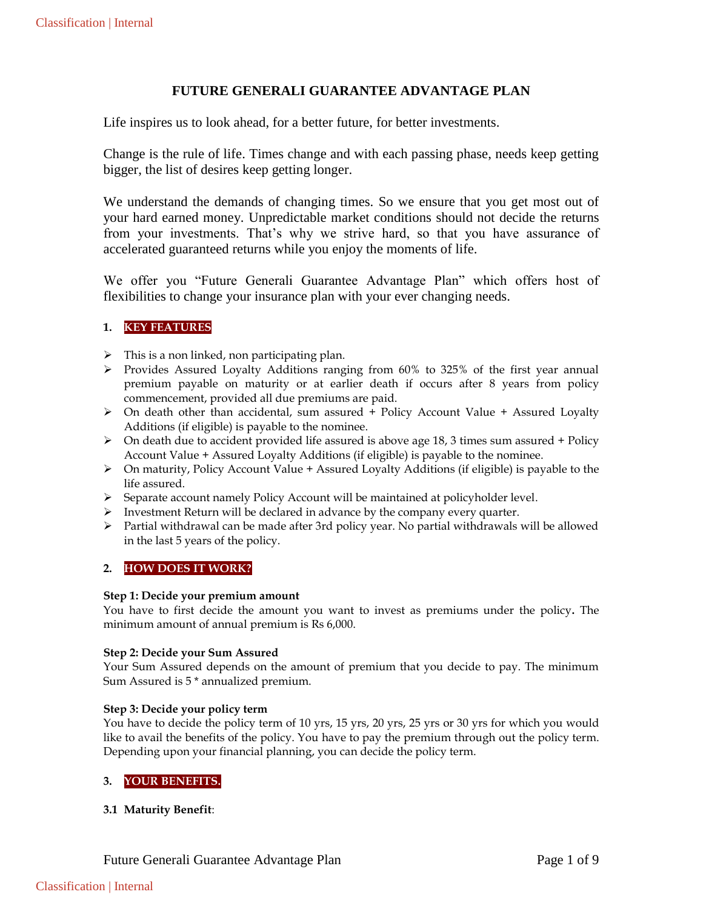# **FUTURE GENERALI GUARANTEE ADVANTAGE PLAN**

Life inspires us to look ahead, for a better future, for better investments.

Change is the rule of life. Times change and with each passing phase, needs keep getting bigger, the list of desires keep getting longer.

We understand the demands of changing times. So we ensure that you get most out of your hard earned money. Unpredictable market conditions should not decide the returns from your investments. That's why we strive hard, so that you have assurance of accelerated guaranteed returns while you enjoy the moments of life.

We offer you "Future Generali Guarantee Advantage Plan" which offers host of flexibilities to change your insurance plan with your ever changing needs.

# **1. KEY FEATURES**

- $\triangleright$  This is a non linked, non participating plan.
- Provides Assured Loyalty Additions ranging from 60% to 325% of the first year annual premium payable on maturity or at earlier death if occurs after 8 years from policy commencement, provided all due premiums are paid.
- $\triangleright$  On death other than accidental, sum assured + Policy Account Value + Assured Loyalty Additions (if eligible) is payable to the nominee.
- $\triangleright$  On death due to accident provided life assured is above age 18, 3 times sum assured + Policy Account Value + Assured Loyalty Additions (if eligible) is payable to the nominee.
- $\triangleright$  On maturity, Policy Account Value + Assured Loyalty Additions (if eligible) is payable to the life assured.
- Separate account namely Policy Account will be maintained at policyholder level.
- $\triangleright$  Investment Return will be declared in advance by the company every quarter.
- $\triangleright$  Partial withdrawal can be made after 3rd policy year. No partial withdrawals will be allowed in the last 5 years of the policy.

# **2. HOW DOES IT WORK?**

### **Step 1: Decide your premium amount**

You have to first decide the amount you want to invest as premiums under the policy**.** The minimum amount of annual premium is Rs 6,000.

### **Step 2: Decide your Sum Assured**

Your Sum Assured depends on the amount of premium that you decide to pay. The minimum Sum Assured is 5 \* annualized premium.

## **Step 3: Decide your policy term**

You have to decide the policy term of 10 yrs, 15 yrs, 20 yrs, 25 yrs or 30 yrs for which you would like to avail the benefits of the policy. You have to pay the premium through out the policy term. Depending upon your financial planning, you can decide the policy term.

# **3. YOUR BENEFITS.**

# **3.1 Maturity Benefit**: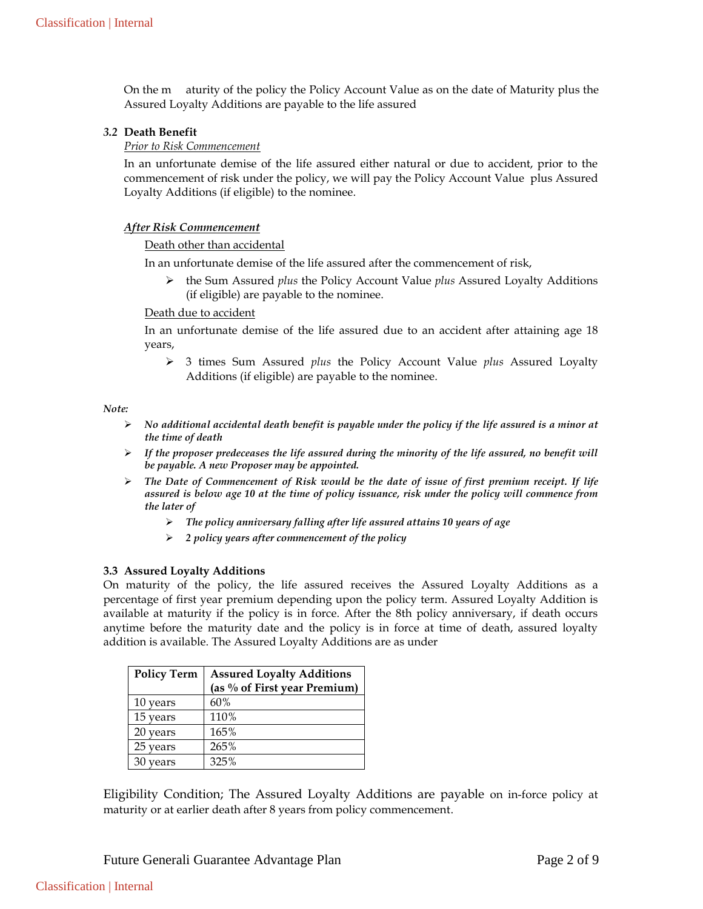On the m aturity of the policy the Policy Account Value as on the date of Maturity plus the Assured Loyalty Additions are payable to the life assured

## *3.2* **Death Benefit**

### *Prior to Risk Commencement*

In an unfortunate demise of the life assured either natural or due to accident, prior to the commencement of risk under the policy, we will pay the Policy Account Value plus Assured Loyalty Additions (if eligible) to the nominee.

#### *After Risk Commencement*

### Death other than accidental

In an unfortunate demise of the life assured after the commencement of risk,

 the Sum Assured *plus* the Policy Account Value *plus* Assured Loyalty Additions (if eligible) are payable to the nominee.

#### Death due to accident

In an unfortunate demise of the life assured due to an accident after attaining age 18 years,

 3 times Sum Assured *plus* the Policy Account Value *plus* Assured Loyalty Additions (if eligible) are payable to the nominee.

#### *Note:*

- *No additional accidental death benefit is payable under the policy if the life assured is a minor at the time of death*
- $\triangleright$  If the proposer predeceases the life assured during the minority of the life assured, no benefit will *be payable. A new Proposer may be appointed.*
- *The Date of Commencement of Risk would be the date of issue of first premium receipt. If life assured is below age 10 at the time of policy issuance, risk under the policy will commence from the later of*
	- *The policy anniversary falling after life assured attains 10 years of age*
	- *2 policy years after commencement of the policy*

### **3.3 Assured Loyalty Additions**

On maturity of the policy, the life assured receives the Assured Loyalty Additions as a percentage of first year premium depending upon the policy term. Assured Loyalty Addition is available at maturity if the policy is in force. After the 8th policy anniversary, if death occurs anytime before the maturity date and the policy is in force at time of death, assured loyalty addition is available. The Assured Loyalty Additions are as under

| <b>Policy Term</b> | <b>Assured Loyalty Additions</b> |  |
|--------------------|----------------------------------|--|
|                    | (as % of First year Premium)     |  |
| 10 years           | 60%                              |  |
| 15 years           | 110%                             |  |
| 20 years           | 165%                             |  |
| 25 years           | 265%                             |  |
| vears              | 325%                             |  |

Eligibility Condition; The Assured Loyalty Additions are payable on in-force policy at maturity or at earlier death after 8 years from policy commencement.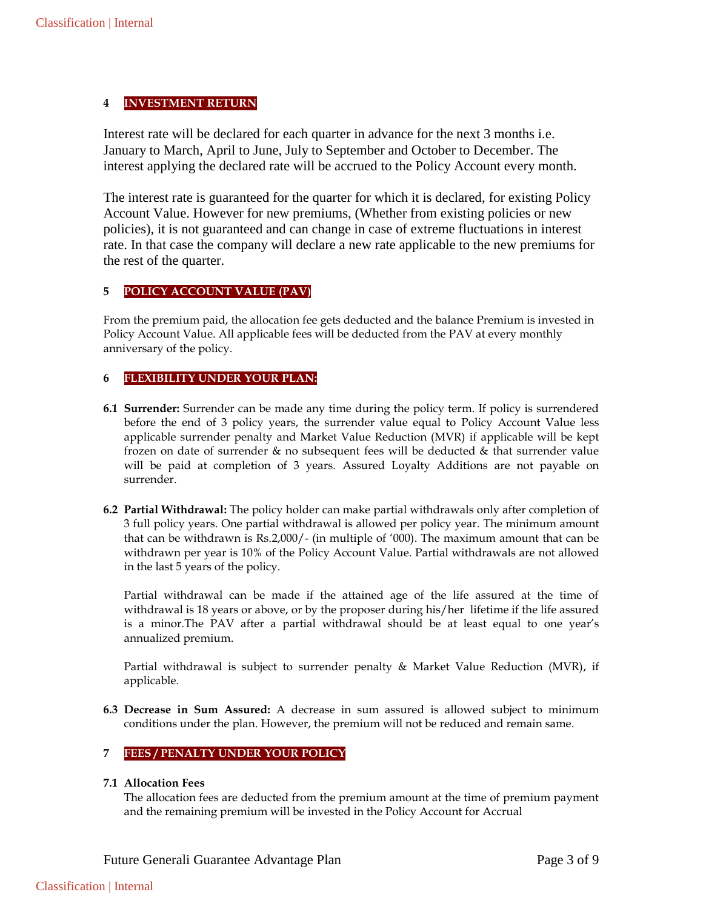# **4 INVESTMENT RETURN**

Interest rate will be declared for each quarter in advance for the next 3 months i.e. January to March, April to June, July to September and October to December. The interest applying the declared rate will be accrued to the Policy Account every month.

The interest rate is guaranteed for the quarter for which it is declared, for existing Policy Account Value. However for new premiums, (Whether from existing policies or new policies), it is not guaranteed and can change in case of extreme fluctuations in interest rate. In that case the company will declare a new rate applicable to the new premiums for the rest of the quarter.

# **5 POLICY ACCOUNT VALUE (PAV)**

From the premium paid, the allocation fee gets deducted and the balance Premium is invested in Policy Account Value. All applicable fees will be deducted from the PAV at every monthly anniversary of the policy.

# **6 FLEXIBILITY UNDER YOUR PLAN:**

- **6.1 Surrender:** Surrender can be made any time during the policy term. If policy is surrendered before the end of 3 policy years, the surrender value equal to Policy Account Value less applicable surrender penalty and Market Value Reduction (MVR) if applicable will be kept frozen on date of surrender & no subsequent fees will be deducted & that surrender value will be paid at completion of 3 years. Assured Loyalty Additions are not payable on surrender.
- **6.2 Partial Withdrawal:** The policy holder can make partial withdrawals only after completion of 3 full policy years. One partial withdrawal is allowed per policy year. The minimum amount that can be withdrawn is Rs.2,000/- (in multiple of '000). The maximum amount that can be withdrawn per year is 10% of the Policy Account Value. Partial withdrawals are not allowed in the last 5 years of the policy.

Partial withdrawal can be made if the attained age of the life assured at the time of withdrawal is 18 years or above, or by the proposer during his/her lifetime if the life assured is a minor.The PAV after a partial withdrawal should be at least equal to one year's annualized premium.

Partial withdrawal is subject to surrender penalty & Market Value Reduction (MVR), if applicable.

**6.3 Decrease in Sum Assured:** A decrease in sum assured is allowed subject to minimum conditions under the plan. However, the premium will not be reduced and remain same.

# **7 FEES / PENALTY UNDER YOUR POLICY**

## **7.1 Allocation Fees**

The allocation fees are deducted from the premium amount at the time of premium payment and the remaining premium will be invested in the Policy Account for Accrual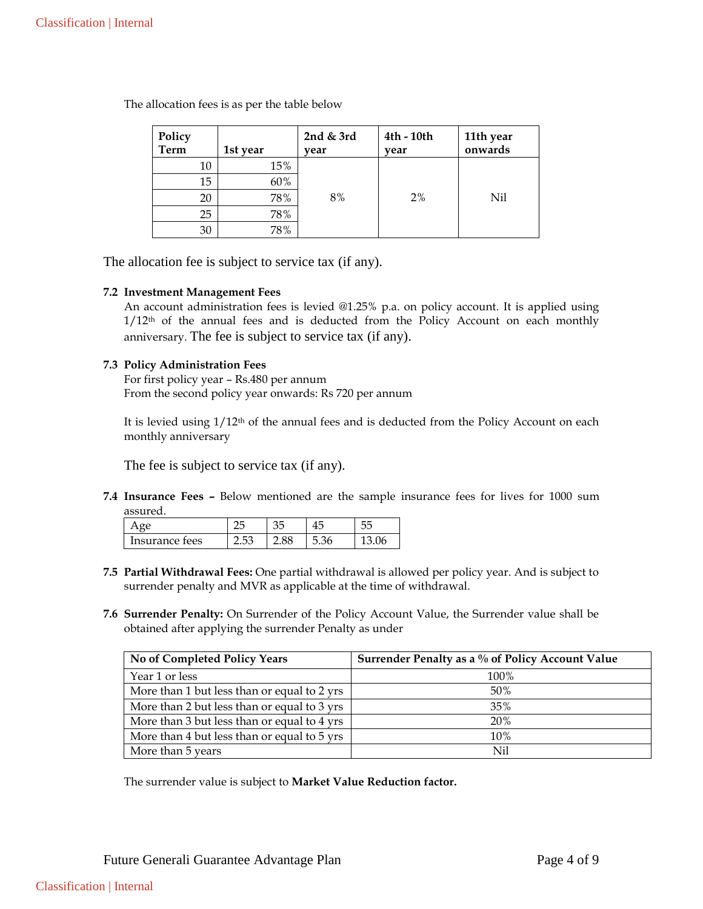| Policy<br><b>Term</b> | 1st year | 2nd $&$ 3rd<br>vear | 4th - 10th<br>vear | 11th year<br>onwards |
|-----------------------|----------|---------------------|--------------------|----------------------|
| 10                    | 15%      |                     |                    |                      |
| 15                    | 60%      |                     |                    |                      |
| 20                    | 78%      | 8%                  | 2%                 | Nil                  |
| 25                    | 78%      |                     |                    |                      |
| 30                    | 78%      |                     |                    |                      |

The allocation fees is as per the table below

The allocation fee is subject to service tax (if any).

### **7.2 Investment Management Fees**

An account administration fees is levied @1.25% p.a. on policy account. It is applied using 1/12<sup>th</sup> of the annual fees and is deducted from the Policy Account on each monthly anniversary. The fee is subject to service tax (if any).

### **7.3 Policy Administration Fees**

For first policy year – Rs.480 per annum From the second policy year onwards: Rs 720 per annum

It is levied using 1/12th of the annual fees and is deducted from the Policy Account on each monthly anniversary

The fee is subject to service tax (if any).

**7.4 Insurance Fees –** Below mentioned are the sample insurance fees for lives for 1000 sum assured.

|                  |  | 4<br>∽    |  |
|------------------|--|-----------|--|
| $\cdots$<br>tees |  | ∽<br>⊃.∪∪ |  |

- **7.5 Partial Withdrawal Fees:** One partial withdrawal is allowed per policy year. And is subject to surrender penalty and MVR as applicable at the time of withdrawal.
- **7.6 Surrender Penalty:** On Surrender of the Policy Account Value, the Surrender value shall be obtained after applying the surrender Penalty as under

| No of Completed Policy Years                | Surrender Penalty as a % of Policy Account Value |
|---------------------------------------------|--------------------------------------------------|
| Year 1 or less                              | 100%                                             |
| More than 1 but less than or equal to 2 yrs | 50%                                              |
| More than 2 but less than or equal to 3 yrs | 35%                                              |
| More than 3 but less than or equal to 4 yrs | <b>20%</b>                                       |
| More than 4 but less than or equal to 5 yrs | 10%                                              |
| More than 5 years                           | Nil                                              |

The surrender value is subject to **Market Value Reduction factor.**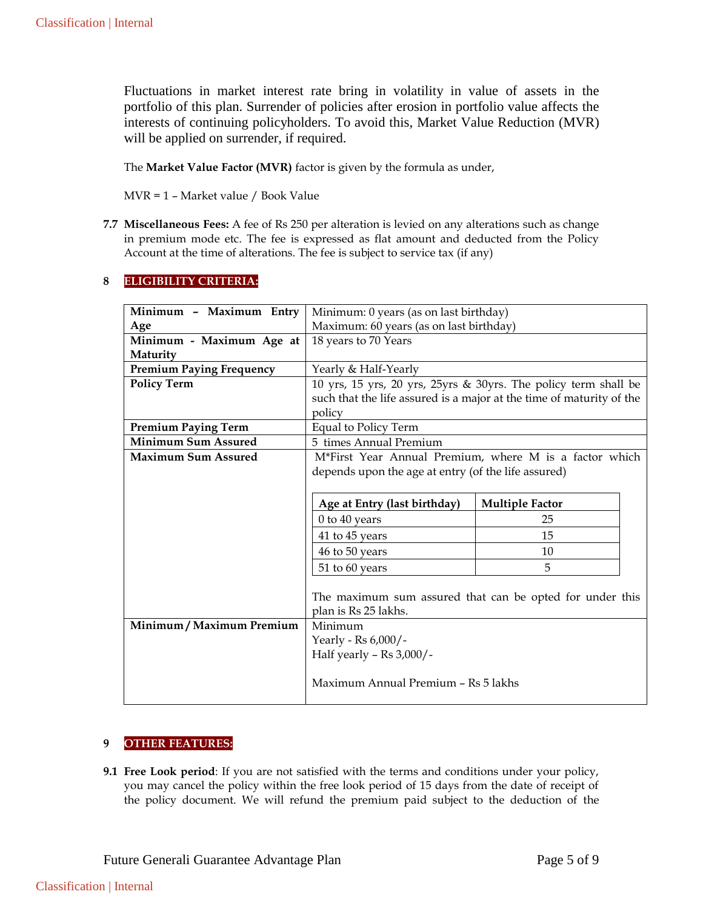Fluctuations in market interest rate bring in volatility in value of assets in the portfolio of this plan. Surrender of policies after erosion in portfolio value affects the interests of continuing policyholders. To avoid this, Market Value Reduction (MVR) will be applied on surrender, if required.

The **Market Value Factor (MVR)** factor is given by the formula as under,

MVR = 1 – Market value / Book Value

**7.7 Miscellaneous Fees:** A fee of Rs 250 per alteration is levied on any alterations such as change in premium mode etc. The fee is expressed as flat amount and deducted from the Policy Account at the time of alterations. The fee is subject to service tax (if any)

# **8 ELIGIBILITY CRITERIA:**

| Minimum - Maximum Entry         | Minimum: 0 years (as on last birthday)                               |                        |  |
|---------------------------------|----------------------------------------------------------------------|------------------------|--|
| Age                             | Maximum: 60 years (as on last birthday)                              |                        |  |
| Minimum - Maximum Age at        | 18 years to 70 Years                                                 |                        |  |
| Maturity                        |                                                                      |                        |  |
| <b>Premium Paying Frequency</b> | Yearly & Half-Yearly                                                 |                        |  |
| <b>Policy Term</b>              | 10 yrs, 15 yrs, 20 yrs, 25yrs & 30yrs. The policy term shall be      |                        |  |
|                                 | such that the life assured is a major at the time of maturity of the |                        |  |
|                                 | policy                                                               |                        |  |
| <b>Premium Paying Term</b>      | Equal to Policy Term                                                 |                        |  |
| <b>Minimum Sum Assured</b>      | 5 times Annual Premium                                               |                        |  |
| <b>Maximum Sum Assured</b>      | M*First Year Annual Premium, where M is a factor which               |                        |  |
|                                 | depends upon the age at entry (of the life assured)                  |                        |  |
|                                 |                                                                      |                        |  |
|                                 | Age at Entry (last birthday)                                         | <b>Multiple Factor</b> |  |
|                                 | 0 to 40 years                                                        | 25                     |  |
|                                 | 41 to 45 years                                                       | 15                     |  |
|                                 | 46 to 50 years                                                       | 10                     |  |
|                                 | 51 to 60 years                                                       | 5                      |  |
|                                 |                                                                      |                        |  |
|                                 | The maximum sum assured that can be opted for under this             |                        |  |
|                                 | plan is Rs 25 lakhs.                                                 |                        |  |
| Minimum / Maximum Premium       | Minimum                                                              |                        |  |
|                                 | Yearly - Rs 6,000/-                                                  |                        |  |
|                                 | Half yearly - $\text{Rs } 3,000$ /-                                  |                        |  |
|                                 |                                                                      |                        |  |
|                                 | Maximum Annual Premium - Rs 5 lakhs                                  |                        |  |
|                                 |                                                                      |                        |  |

# **9 OTHER FEATURES:**

**9.1 Free Look period**: If you are not satisfied with the terms and conditions under your policy, you may cancel the policy within the free look period of 15 days from the date of receipt of the policy document. We will refund the premium paid subject to the deduction of the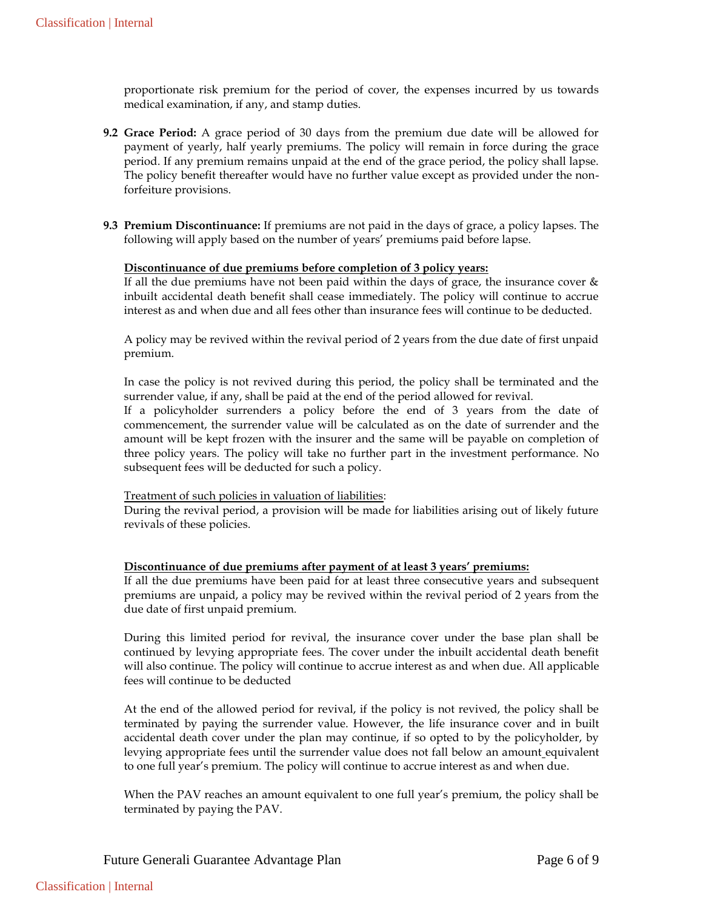proportionate risk premium for the period of cover, the expenses incurred by us towards medical examination, if any, and stamp duties.

- **9.2 Grace Period:** A grace period of 30 days from the premium due date will be allowed for payment of yearly, half yearly premiums. The policy will remain in force during the grace period. If any premium remains unpaid at the end of the grace period, the policy shall lapse. The policy benefit thereafter would have no further value except as provided under the nonforfeiture provisions.
- **9.3 Premium Discontinuance:** If premiums are not paid in the days of grace, a policy lapses. The following will apply based on the number of years' premiums paid before lapse.

### **Discontinuance of due premiums before completion of 3 policy years:**

If all the due premiums have not been paid within the days of grace, the insurance cover  $\&$ inbuilt accidental death benefit shall cease immediately. The policy will continue to accrue interest as and when due and all fees other than insurance fees will continue to be deducted.

A policy may be revived within the revival period of 2 years from the due date of first unpaid premium.

In case the policy is not revived during this period, the policy shall be terminated and the surrender value, if any, shall be paid at the end of the period allowed for revival.

If a policyholder surrenders a policy before the end of 3 years from the date of commencement, the surrender value will be calculated as on the date of surrender and the amount will be kept frozen with the insurer and the same will be payable on completion of three policy years. The policy will take no further part in the investment performance. No subsequent fees will be deducted for such a policy.

#### Treatment of such policies in valuation of liabilities:

During the revival period, a provision will be made for liabilities arising out of likely future revivals of these policies.

### **Discontinuance of due premiums after payment of at least 3 years' premiums:**

If all the due premiums have been paid for at least three consecutive years and subsequent premiums are unpaid, a policy may be revived within the revival period of 2 years from the due date of first unpaid premium.

During this limited period for revival, the insurance cover under the base plan shall be continued by levying appropriate fees. The cover under the inbuilt accidental death benefit will also continue. The policy will continue to accrue interest as and when due. All applicable fees will continue to be deducted

At the end of the allowed period for revival, if the policy is not revived, the policy shall be terminated by paying the surrender value. However, the life insurance cover and in built accidental death cover under the plan may continue, if so opted to by the policyholder, by levying appropriate fees until the surrender value does not fall below an amount equivalent to one full year's premium. The policy will continue to accrue interest as and when due.

When the PAV reaches an amount equivalent to one full year's premium, the policy shall be terminated by paying the PAV.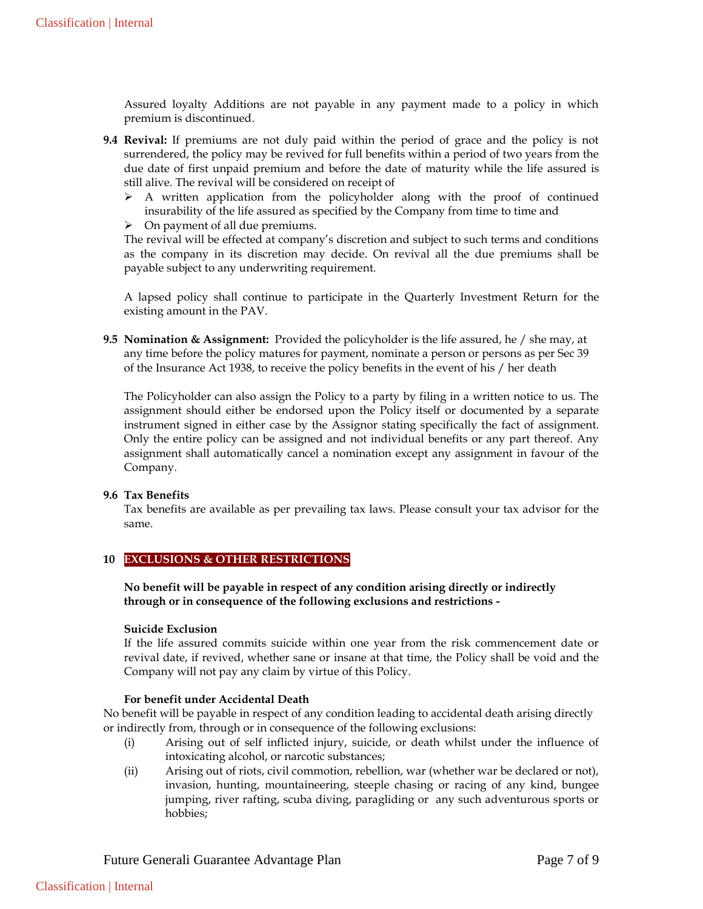Assured loyalty Additions are not payable in any payment made to a policy in which premium is discontinued.

- **9.4 Revival:** If premiums are not duly paid within the period of grace and the policy is not surrendered, the policy may be revived for full benefits within a period of two years from the due date of first unpaid premium and before the date of maturity while the life assured is still alive. The revival will be considered on receipt of
	- $\triangleright$  A written application from the policyholder along with the proof of continued insurability of the life assured as specified by the Company from time to time and
	- $\triangleright$  On payment of all due premiums.

The revival will be effected at company's discretion and subject to such terms and conditions as the company in its discretion may decide. On revival all the due premiums shall be payable subject to any underwriting requirement.

A lapsed policy shall continue to participate in the Quarterly Investment Return for the existing amount in the PAV.

**9.5 Nomination & Assignment:** Provided the policyholder is the life assured, he / she may, at any time before the policy matures for payment, nominate a person or persons as per Sec 39 of the Insurance Act 1938, to receive the policy benefits in the event of his / her death

The Policyholder can also assign the Policy to a party by filing in a written notice to us. The assignment should either be endorsed upon the Policy itself or documented by a separate instrument signed in either case by the Assignor stating specifically the fact of assignment. Only the entire policy can be assigned and not individual benefits or any part thereof. Any assignment shall automatically cancel a nomination except any assignment in favour of the Company.

### **9.6 Tax Benefits**

Tax benefits are available as per prevailing tax laws. Please consult your tax advisor for the same.

## **10 EXCLUSIONS & OTHER RESTRICTIONS**

**No benefit will be payable in respect of any condition arising directly or indirectly through or in consequence of the following exclusions and restrictions -**

#### **Suicide Exclusion**

If the life assured commits suicide within one year from the risk commencement date or revival date, if revived, whether sane or insane at that time, the Policy shall be void and the Company will not pay any claim by virtue of this Policy.

### **For benefit under Accidental Death**

No benefit will be payable in respect of any condition leading to accidental death arising directly or indirectly from, through or in consequence of the following exclusions:

- (i) Arising out of self inflicted injury, suicide, or death whilst under the influence of intoxicating alcohol, or narcotic substances;
- (ii) Arising out of riots, civil commotion, rebellion, war (whether war be declared or not), invasion, hunting, mountaineering, steeple chasing or racing of any kind, bungee jumping, river rafting, scuba diving, paragliding or any such adventurous sports or hobbies;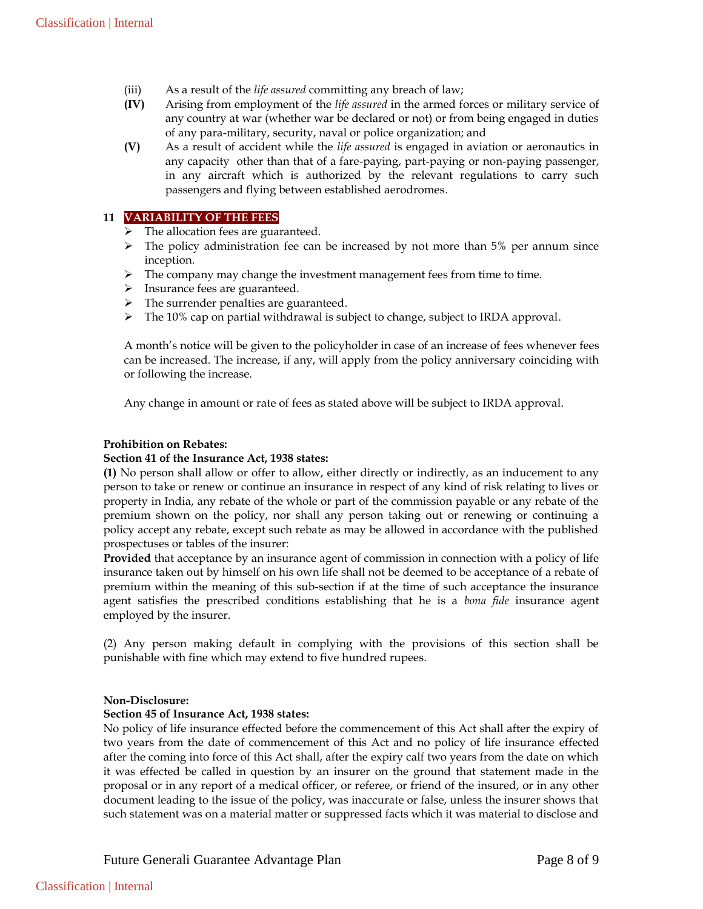- (iii) As a result of the *life assured* committing any breach of law;
- **(IV)** Arising from employment of the *life assured* in the armed forces or military service of any country at war (whether war be declared or not) or from being engaged in duties of any para-military, security, naval or police organization; and
- **(V)** As a result of accident while the *life assured* is engaged in aviation or aeronautics in any capacity other than that of a fare-paying, part-paying or non-paying passenger, in any aircraft which is authorized by the relevant regulations to carry such passengers and flying between established aerodromes.

## **11 VARIABILITY OF THE FEES**

- $\triangleright$  The allocation fees are guaranteed.
- $\triangleright$  The policy administration fee can be increased by not more than 5% per annum since inception.
- $\triangleright$  The company may change the investment management fees from time to time.
- > Insurance fees are guaranteed.
- $\triangleright$  The surrender penalties are guaranteed.
- $\triangleright$  The 10% cap on partial withdrawal is subject to change, subject to IRDA approval.

A month's notice will be given to the policyholder in case of an increase of fees whenever fees can be increased. The increase, if any, will apply from the policy anniversary coinciding with or following the increase.

Any change in amount or rate of fees as stated above will be subject to IRDA approval.

#### **Prohibition on Rebates:**

#### **Section 41 of the Insurance Act, 1938 states:**

**(1)** No person shall allow or offer to allow, either directly or indirectly, as an inducement to any person to take or renew or continue an insurance in respect of any kind of risk relating to lives or property in India, any rebate of the whole or part of the commission payable or any rebate of the premium shown on the policy, nor shall any person taking out or renewing or continuing a policy accept any rebate, except such rebate as may be allowed in accordance with the published prospectuses or tables of the insurer:

**Provided** that acceptance by an insurance agent of commission in connection with a policy of life insurance taken out by himself on his own life shall not be deemed to be acceptance of a rebate of premium within the meaning of this sub-section if at the time of such acceptance the insurance agent satisfies the prescribed conditions establishing that he is a *bona fide* insurance agent employed by the insurer.

(2) Any person making default in complying with the provisions of this section shall be punishable with fine which may extend to five hundred rupees.

### **Non-Disclosure:**

### **Section 45 of Insurance Act, 1938 states:**

No policy of life insurance effected before the commencement of this Act shall after the expiry of two years from the date of commencement of this Act and no policy of life insurance effected after the coming into force of this Act shall, after the expiry calf two years from the date on which it was effected be called in question by an insurer on the ground that statement made in the proposal or in any report of a medical officer, or referee, or friend of the insured, or in any other document leading to the issue of the policy, was inaccurate or false, unless the insurer shows that such statement was on a material matter or suppressed facts which it was material to disclose and